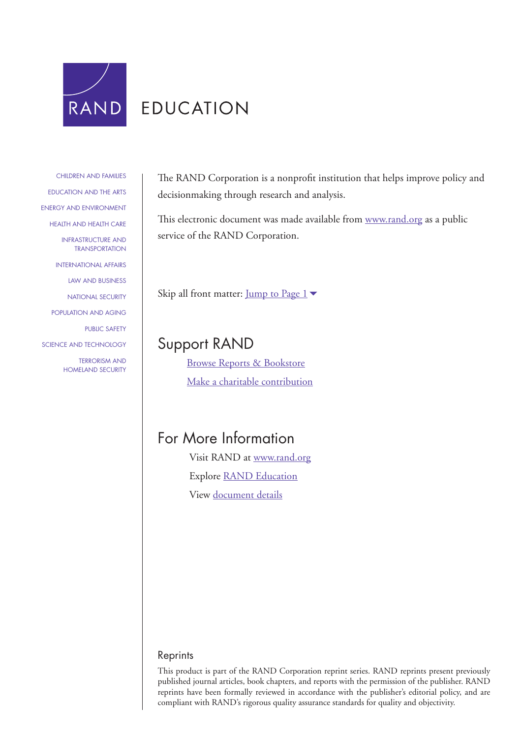

[CHILDREN AND FAMILIES](http://www.rand.org/pdfrd/topics/children-and-families.html) [EDUCATION AND THE ARTS](http://www.rand.org/pdfrd/topics/education-and-the-arts.html)  [ENERGY AND ENVIRONMENT](http://www.rand.org/pdfrd/topics/energy-and-environment.html) [HEALTH AND HEALTH CARE](http://www.rand.org/pdfrd/topics/health-and-health-care.html) [INFRASTRUCTURE AND](http://www.rand.org/pdfrd/topics/infrastructure-and-transportation.html)  **TRANSPORTATION** [INTERNATIONAL AFFAIRS](http://www.rand.org/pdfrd/topics/international-affairs.html) [LAW AND BUSINESS](http://www.rand.org/pdfrd/topics/law-and-business.html)  [NATIONAL SECURITY](http://www.rand.org/pdfrd/topics/national-security.html) [POPULATION AND AGING](http://www.rand.org/pdfrd/topics/population-and-aging.html) [PUBLIC SAFETY](http://www.rand.org/pdfrd/topics/public-safety.html) [SCIENCE AND TECHNOLOGY](http://www.rand.org/pdfrd/topics/science-and-technology.html) TERRORISM AND [HOMELAND SECURITY](http://www.rand.org/pdfrd/topics/terrorism-and-homeland-security.html) The RAND Corporation is a nonprofit institution that helps improve policy and decisionmaking through research and analysis.

This electronic document was made available from [www.rand.org](http://www.rand.org/pdfrd/) as a public service of the RAND Corporation.

Skip all front matter: Jump to Page  $1\blacktriangleright$ 

# Support RAND

[Browse Reports & Bookstore](http://www.rand.org/pdfrd/pubs/online/) [Make a charitable contribution](http://www.rand.org/pdfrd/giving/contribute.html)

# For More Information

Visit RAND at [www.rand.org](http://www.rand.org/pdfrd/) Explore [RAND Education](http://www.rand.org/pdfrd/education/) View [document details](http://www.rand.org/pdfrd/pubs/reprints/RP1428/)

### Reprints

This product is part of the RAND Corporation reprint series. RAND reprints present previously published journal articles, book chapters, and reports with the permission of the publisher. RAND reprints have been formally reviewed in accordance with the publisher's editorial policy, and are compliant with RAND's rigorous quality assurance standards for quality and objectivity.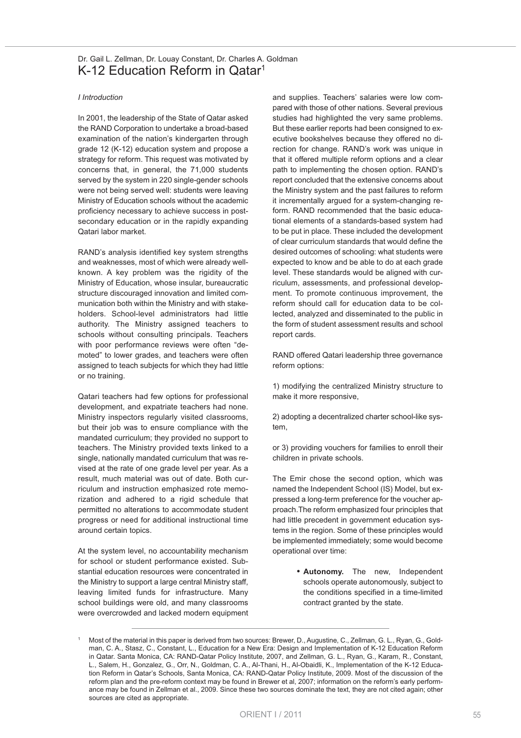## <span id="page-1-0"></span>Dr. Gail L. Zellman, Dr. Louay Constant, Dr. Charles A. Goldman K-12 Education Reform in Qatar<sup>1</sup>

#### *I Introduction*

In 2001, the leadership of the State of Qatar asked the RAND Corporation to undertake a broad-based examination of the nation's kindergarten through grade 12 (K-12) education system and propose a strategy for reform. This request was motivated by concerns that, in general, the 71,000 students served by the system in 220 single-gender schools were not being served well: students were leaving Ministry of Education schools without the academic proficiency necessary to achieve success in postsecondary education or in the rapidly expanding Qatari labor market.

RAND's analysis identified key system strengths and weaknesses, most of which were already wellknown. A key problem was the rigidity of the Ministry of Education, whose insular, bureaucratic structure discouraged innovation and limited communication both within the Ministry and with stakeholders. School-level administrators had little authority. The Ministry assigned teachers to schools without consulting principals. Teachers with poor performance reviews were often "demoted" to lower grades, and teachers were often assigned to teach subjects for which they had little or no training.

Qatari teachers had few options for professional development, and expatriate teachers had none. Ministry inspectors regularly visited classrooms, but their job was to ensure compliance with the mandated curriculum; they provided no support to teachers. The Ministry provided texts linked to a single, nationally mandated curriculum that was revised at the rate of one grade level per year. As a result, much material was out of date. Both curriculum and instruction emphasized rote memorization and adhered to a rigid schedule that permitted no alterations to accommodate student progress or need for additional instructional time around certain topics.

At the system level, no accountability mechanism for school or student performance existed. Substantial education resources were concentrated in the Ministry to support a large central Ministry staff, leaving limited funds for infrastructure. Many school buildings were old, and many classrooms were overcrowded and lacked modern equipment and supplies. Teachers' salaries were low compared with those of other nations. Several previous studies had highlighted the very same problems. But these earlier reports had been consigned to executive bookshelves because they offered no direction for change. RAND's work was unique in that it offered multiple reform options and a clear path to implementing the chosen option. RAND's report concluded that the extensive concerns about the Ministry system and the past failures to reform it incrementally argued for a system-changing reform. RAND recommended that the basic educational elements of a standards-based system had to be put in place. These included the development of clear curriculum standards that would define the desired outcomes of schooling: what students were expected to know and be able to do at each grade level. These standards would be aligned with curriculum, assessments, and professional development. To promote continuous improvement, the reform should call for education data to be collected, analyzed and disseminated to the public in the form of student assessment results and school report cards.

RAND offered Qatari leadership three governance reform options:

1) modifying the centralized Ministry structure to make it more responsive,

2) adopting a decentralized charter school-like system,

or 3) providing vouchers for families to enroll their children in private schools.

The Emir chose the second option, which was named the Independent School (IS) Model, but expressed a long-term preference for the voucher approach.The reform emphasized four principles that had little precedent in government education systems in the region. Some of these principles would be implemented immediately; some would become operational over time:

> **• Autonomy.** The new, Independent schools operate autonomously, subject to the conditions specified in a time-limited contract granted by the state.

Most of the material in this paper is derived from two sources: Brewer, D., Augustine, C., Zellman, G. L., Ryan, G., Goldman, C. A., Stasz, C., Constant, L., Education for a New Era: Design and Implementation of K-12 Education Reform in Qatar. Santa Monica, CA: RAND-Qatar Policy Institute, 2007, and Zellman, G. L., Ryan, G., Karam, R., Constant, L., Salem, H., Gonzalez, G., Orr, N., Goldman, C. A., Al-Thani, H., Al-Obaidli, K., Implementation of the K-12 Education Reform in Qatar's Schools, Santa Monica, CA: RAND-Qatar Policy Institute, 2009. Most of the discussion of the reform plan and the pre-reform context may be found in Brewer et al, 2007; information on the reform's early performance may be found in Zellman et al., 2009. Since these two sources dominate the text, they are not cited again; other sources are cited as appropriate.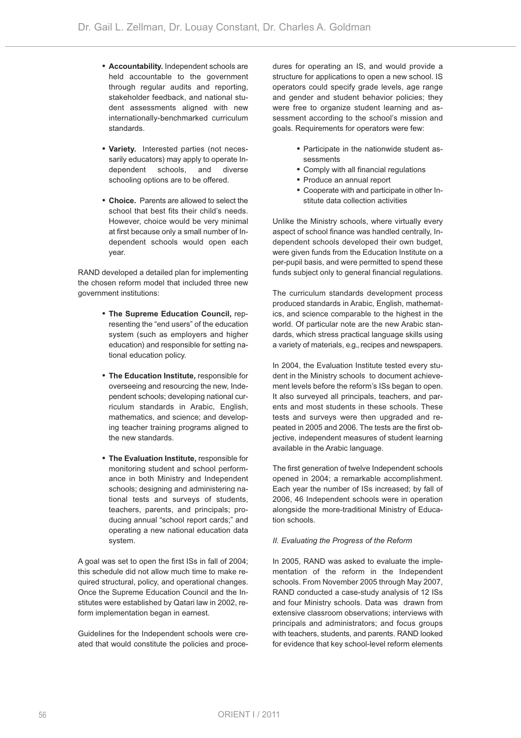- **• Accountability.** Independent schools are held accountable to the government through regular audits and reporting, stakeholder feedback, and national student assessments aligned with new internationally-benchmarked curriculum standards.
- **• Variety.** Interested parties (not necessarily educators) may apply to operate Independent schools, and diverse schooling options are to be offered.
- **• Choice.** Parents are allowed to select the school that best fits their child's needs. However, choice would be very minimal at first because only a small number of Independent schools would open each year.

RAND developed a detailed plan for implementing the chosen reform model that included three new government institutions:

- **• The Supreme Education Council,** representing the "end users" of the education system (such as employers and higher education) and responsible for setting national education policy.
- **• The Education Institute,** responsible for overseeing and resourcing the new, Independent schools; developing national curriculum standards in Arabic, English, mathematics, and science; and developing teacher training programs aligned to the new standards.
- **• The Evaluation Institute,** responsible for monitoring student and school performance in both Ministry and Independent schools; designing and administering national tests and surveys of students, teachers, parents, and principals; producing annual "school report cards;" and operating a new national education data system.

A goal was set to open the first ISs in fall of 2004; this schedule did not allow much time to make required structural, policy, and operational changes. Once the Supreme Education Council and the Institutes were established by Qatari law in 2002, reform implementation began in earnest.

Guidelines for the Independent schools were created that would constitute the policies and procedures for operating an IS, and would provide a structure for applications to open a new school. IS operators could specify grade levels, age range and gender and student behavior policies; they were free to organize student learning and assessment according to the school's mission and goals. Requirements for operators were few:

- **•** Participate in the nationwide student assessments
- **•** Comply with all financial regulations
- **•** Produce an annual report
- **•** Cooperate with and participate in other Institute data collection activities

Unlike the Ministry schools, where virtually every aspect of school finance was handled centrally, Independent schools developed their own budget, were given funds from the Education Institute on a per-pupil basis, and were permitted to spend these funds subject only to general financial regulations.

The curriculum standards development process produced standards in Arabic, English, mathematics, and science comparable to the highest in the world. Of particular note are the new Arabic standards, which stress practical language skills using a variety of materials, e.g., recipes and newspapers.

In 2004, the Evaluation Institute tested every student in the Ministry schools to document achievement levels before the reform's ISs began to open. It also surveyed all principals, teachers, and parents and most students in these schools. These tests and surveys were then upgraded and repeated in 2005 and 2006. The tests are the first objective, independent measures of student learning available in the Arabic language.

The first generation of twelve Independent schools opened in 2004; a remarkable accomplishment. Each year the number of ISs increased; by fall of 2006, 46 Independent schools were in operation alongside the more-traditional Ministry of Education schools.

#### *II. Evaluating the Progress of the Reform*

In 2005, RAND was asked to evaluate the implementation of the reform in the Independent schools. From November 2005 through May 2007, RAND conducted a case-study analysis of 12 ISs and four Ministry schools. Data was drawn from extensive classroom observations; interviews with principals and administrators; and focus groups with teachers, students, and parents. RAND looked for evidence that key school-level reform elements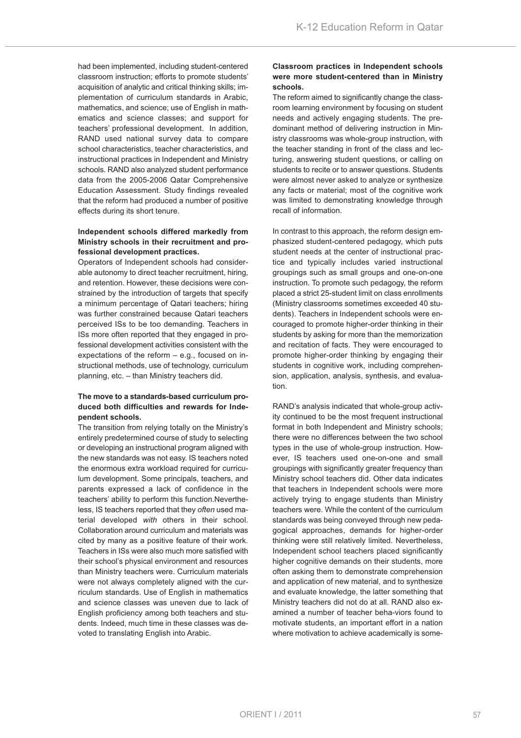had been implemented, including student-centered classroom instruction; efforts to promote students' acquisition of analytic and critical thinking skills; implementation of curriculum standards in Arabic, mathematics, and science; use of English in mathematics and science classes; and support for teachers' professional development. In addition, RAND used national survey data to compare school characteristics, teacher characteristics, and instructional practices in Independent and Ministry schools. RAND also analyzed student performance data from the 2005-2006 Qatar Comprehensive Education Assessment. Study findings revealed that the reform had produced a number of positive effects during its short tenure.

### **Independent schools differed markedly from Ministry schools in their recruitment and professional development practices.**

Operators of Independent schools had considerable autonomy to direct teacher recruitment, hiring, and retention. However, these decisions were constrained by the introduction of targets that specify a minimum percentage of Qatari teachers; hiring was further constrained because Qatari teachers perceived ISs to be too demanding. Teachers in ISs more often reported that they engaged in professional development activities consistent with the expectations of the reform – e.g., focused on instructional methods, use of technology, curriculum planning, etc. – than Ministry teachers did.

#### **The move to a standards-based curriculum produced both difficulties and rewards for Independent schools.**

The transition from relying totally on the Ministry's entirely predetermined course of study to selecting or developing an instructional program aligned with the new standards was not easy. IS teachers noted the enormous extra workload required for curriculum development. Some principals, teachers, and parents expressed a lack of confidence in the teachers' ability to perform this function.Nevertheless, IS teachers reported that they *often* used material developed *with* others in their school. Collaboration around curriculum and materials was cited by many as a positive feature of their work. Teachers in ISs were also much more satisfied with their school's physical environment and resources than Ministry teachers were. Curriculum materials were not always completely aligned with the curriculum standards. Use of English in mathematics and science classes was uneven due to lack of English proficiency among both teachers and students. Indeed, much time in these classes was devoted to translating English into Arabic.

#### **Classroom practices in Independent schools were more student-centered than in Ministry schools.**

The reform aimed to significantly change the classroom learning environment by focusing on student needs and actively engaging students. The predominant method of delivering instruction in Ministry classrooms was whole-group instruction, with the teacher standing in front of the class and lecturing, answering student questions, or calling on students to recite or to answer questions. Students were almost never asked to analyze or synthesize any facts or material; most of the cognitive work was limited to demonstrating knowledge through recall of information.

In contrast to this approach, the reform design emphasized student-centered pedagogy, which puts student needs at the center of instructional practice and typically includes varied instructional groupings such as small groups and one-on-one instruction. To promote such pedagogy, the reform placed a strict 25-student limit on class enrollments (Ministry classrooms sometimes exceeded 40 students). Teachers in Independent schools were encouraged to promote higher-order thinking in their students by asking for more than the memorization and recitation of facts. They were encouraged to promote higher-order thinking by engaging their students in cognitive work, including comprehension, application, analysis, synthesis, and evaluation.

RAND's analysis indicated that whole-group activity continued to be the most frequent instructional format in both Independent and Ministry schools; there were no differences between the two school types in the use of whole-group instruction. However, IS teachers used one-on-one and small groupings with significantly greater frequency than Ministry school teachers did. Other data indicates that teachers in Independent schools were more actively trying to engage students than Ministry teachers were. While the content of the curriculum standards was being conveyed through new pedagogical approaches, demands for higher-order thinking were still relatively limited. Nevertheless, Independent school teachers placed significantly higher cognitive demands on their students, more often asking them to demonstrate comprehension and application of new material, and to synthesize and evaluate knowledge, the latter something that Ministry teachers did not do at all. RAND also examined a number of teacher beha-viors found to motivate students, an important effort in a nation where motivation to achieve academically is some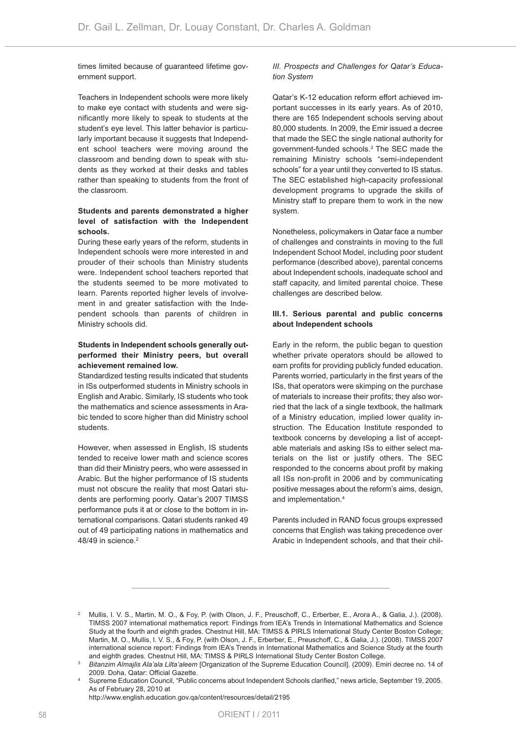times limited because of guaranteed lifetime government support.

Teachers in Independent schools were more likely to make eye contact with students and were significantly more likely to speak to students at the student's eye level. This latter behavior is particularly important because it suggests that Independent school teachers were moving around the classroom and bending down to speak with students as they worked at their desks and tables rather than speaking to students from the front of the classroom.

#### **Students and parents demonstrated a higher level of satisfaction with the Independent schools.**

During these early years of the reform, students in Independent schools were more interested in and prouder of their schools than Ministry students were. Independent school teachers reported that the students seemed to be more motivated to learn. Parents reported higher levels of involvement in and greater satisfaction with the Independent schools than parents of children in Ministry schools did.

#### **Students in Independent schools generally outperformed their Ministry peers, but overall achievement remained low.**

Standardized testing results indicated that students in ISs outperformed students in Ministry schools in English and Arabic. Similarly, IS students who took the mathematics and science assessments in Arabic tended to score higher than did Ministry school students.

However, when assessed in English, IS students tended to receive lower math and science scores than did their Ministry peers, who were assessed in Arabic. But the higher performance of IS students must not obscure the reality that most Qatari students are performing poorly. Qatar's 2007 TIMSS performance puts it at or close to the bottom in international comparisons. Qatari students ranked 49 out of 49 participating nations in mathematics and 48/49 in science.<sup>2</sup>

### *III. Prospects and Challenges for Qatar's Education System*

Qatar's K-12 education reform effort achieved important successes in its early years. As of 2010, there are 165 Independent schools serving about 80,000 students. In 2009, the Emir issued a decree that made the SEC the single national authority for government-funded schools.3 The SEC made the remaining Ministry schools "semi-independent schools" for a year until they converted to IS status. The SEC established high-capacity professional development programs to upgrade the skills of Ministry staff to prepare them to work in the new system.

Nonetheless, policymakers in Qatar face a number of challenges and constraints in moving to the full Independent School Model, including poor student performance (described above), parental concerns about Independent schools, inadequate school and staff capacity, and limited parental choice. These challenges are described below.

### **III.1. Serious parental and public concerns about Independent schools**

Early in the reform, the public began to question whether private operators should be allowed to earn profits for providing publicly funded education. Parents worried, particularly in the first years of the ISs, that operators were skimping on the purchase of materials to increase their profits; they also worried that the lack of a single textbook, the hallmark of a Ministry education, implied lower quality instruction. The Education Institute responded to textbook concerns by developing a list of acceptable materials and asking ISs to either select materials on the list or justify others. The SEC responded to the concerns about profit by making all ISs non-profit in 2006 and by communicating positive messages about the reform's aims, design, and implementation.4

Parents included in RAND focus groups expressed concerns that English was taking precedence over Arabic in Independent schools, and that their chil-

<http://www.english.education.gov.qa/content/resources/detail/2195>

<sup>2</sup> Mullis, I. V. S., Martin, M. O., & Foy, P. (with Olson, J. F., Preuschoff, C., Erberber, E., Arora A., & Galia, J.). (2008). TIMSS 2007 international mathematics report: Findings from IEA's Trends in International Mathematics and Science Study at the fourth and eighth grades. Chestnut Hill, MA: TIMSS & PIRLS International Study Center Boston College; Martin, M. O., Mullis, I. V. S., & Foy, P. (with Olson, J. F., Erberber, E., Preuschoff, C., & Galia, J.). (2008). TIMSS 2007 international science report: Findings from IEA's Trends in International Mathematics and Science Study at the fourth and eighth grades. Chestnut Hill, MA: TIMSS & PIRLS International Study Center Boston College.

<sup>3</sup> *Bitanzim Almajlis Ala'ala Lilta'aleem* [Organization of the Supreme Education Council]. (2009). Emiri decree no. 14 of 2009. Doha, Qatar: Official Gazette.

Supreme Education Council, "Public concerns about Independent Schools clarified," news article, September 19, 2005. As of February 28, 2010 at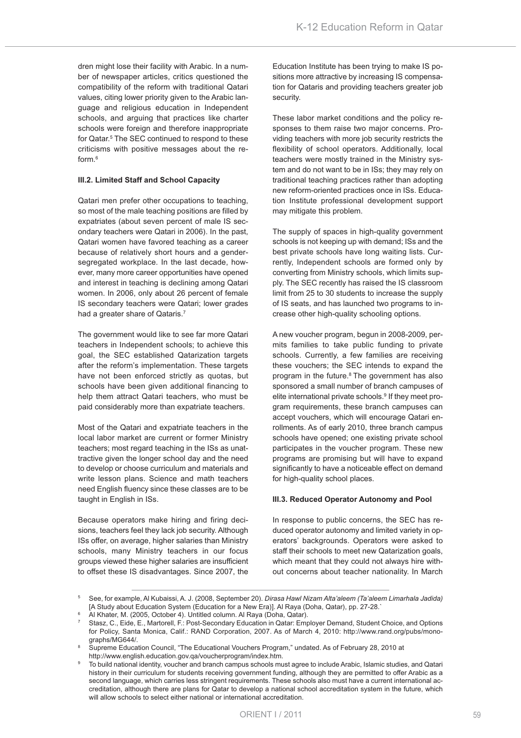dren might lose their facility with Arabic. In a number of newspaper articles, critics questioned the compatibility of the reform with traditional Qatari values, citing lower priority given to the Arabic language and religious education in Independent schools, and arguing that practices like charter schools were foreign and therefore inappropriate for Qatar.<sup>5</sup> The SEC continued to respond to these criticisms with positive messages about the reform.6

#### **III.2. Limited Staff and School Capacity**

Qatari men prefer other occupations to teaching, so most of the male teaching positions are filled by expatriates (about seven percent of male IS secondary teachers were Qatari in 2006). In the past, Qatari women have favored teaching as a career because of relatively short hours and a gendersegregated workplace. In the last decade, however, many more career opportunities have opened and interest in teaching is declining among Qatari women. In 2006, only about 26 percent of female IS secondary teachers were Qatari; lower grades had a greater share of Qataris.<sup>7</sup>

The government would like to see far more Qatari teachers in Independent schools; to achieve this goal, the SEC established Qatarization targets after the reform's implementation. These targets have not been enforced strictly as quotas, but schools have been given additional financing to help them attract Qatari teachers, who must be paid considerably more than expatriate teachers.

Most of the Qatari and expatriate teachers in the local labor market are current or former Ministry teachers; most regard teaching in the ISs as unattractive given the longer school day and the need to develop or choose curriculum and materials and write lesson plans. Science and math teachers need English fluency since these classes are to be taught in English in ISs.

Because operators make hiring and firing decisions, teachers feel they lack job security. Although ISs offer, on average, higher salaries than Ministry schools, many Ministry teachers in our focus groups viewed these higher salaries are insufficient to offset these IS disadvantages. Since 2007, the

Education Institute has been trying to make IS positions more attractive by increasing IS compensation for Qataris and providing teachers greater job security.

These labor market conditions and the policy responses to them raise two major concerns. Providing teachers with more job security restricts the flexibility of school operators. Additionally, local teachers were mostly trained in the Ministry system and do not want to be in ISs; they may rely on traditional teaching practices rather than adopting new reform-oriented practices once in ISs. Education Institute professional development support may mitigate this problem.

The supply of spaces in high-quality government schools is not keeping up with demand; ISs and the best private schools have long waiting lists. Currently, Independent schools are formed only by converting from Ministry schools, which limits supply. The SEC recently has raised the IS classroom limit from 25 to 30 students to increase the supply of IS seats, and has launched two programs to increase other high-quality schooling options.

A new voucher program, begun in 2008-2009, permits families to take public funding to private schools. Currently, a few families are receiving these vouchers; the SEC intends to expand the program in the future.<sup>8</sup> The government has also sponsored a small number of branch campuses of elite international private schools.<sup>9</sup> If they meet program requirements, these branch campuses can accept vouchers, which will encourage Qatari enrollments. As of early 2010, three branch campus schools have opened; one existing private school participates in the voucher program. These new programs are promising but will have to expand significantly to have a noticeable effect on demand for high-quality school places.

#### **III.3. Reduced Operator Autonomy and Pool**

In response to public concerns, the SEC has reduced operator autonomy and limited variety in operators' backgrounds. Operators were asked to staff their schools to meet new Qatarization goals, which meant that they could not always hire without concerns about teacher nationality. In March

<sup>5</sup> See, for example, Al Kubaissi, A. J. (2008, September 20). *Dirasa Hawl Nizam Alta'aleem (Ta'aleem Limarhala Jadida)* [A Study about Education System (Education for a New Era)]. Al Raya (Doha, Qatar), pp. 27-28.`

<sup>6</sup> Al Khater, M. (2005, October 4). Untitled column. Al Raya (Doha, Qatar).

<sup>7</sup> Stasz, C., Eide, E., Martorell, F.: Post-Secondary Education in Qatar: Employer Demand, Student Choice, and Options for Policy, Santa Monica, Calif.: RAND Corporation, 2007. As of March 4, 2010: [http://www.rand.org/pubs/mono](http://www.rand.org/pubs/monographs/MG644/)[graphs/MG644/.](http://www.rand.org/pubs/monographs/MG644/)

<sup>8</sup> Supreme Education Council, "The Educational Vouchers Program," undated. As of February 28, 2010 at [http://www.english.education.gov.qa/voucherprogram/index.htm.](http://www.english.education.gov.qa/voucherprogram/index.htm)

<sup>9</sup> To build national identity, voucher and branch campus schools must agree to include Arabic, Islamic studies, and Qatari history in their curriculum for students receiving government funding, although they are permitted to offer Arabic as a second language, which carries less stringent requirements. These schools also must have a current international accreditation, although there are plans for Qatar to develop a national school accreditation system in the future, which will allow schools to select either national or international accreditation.